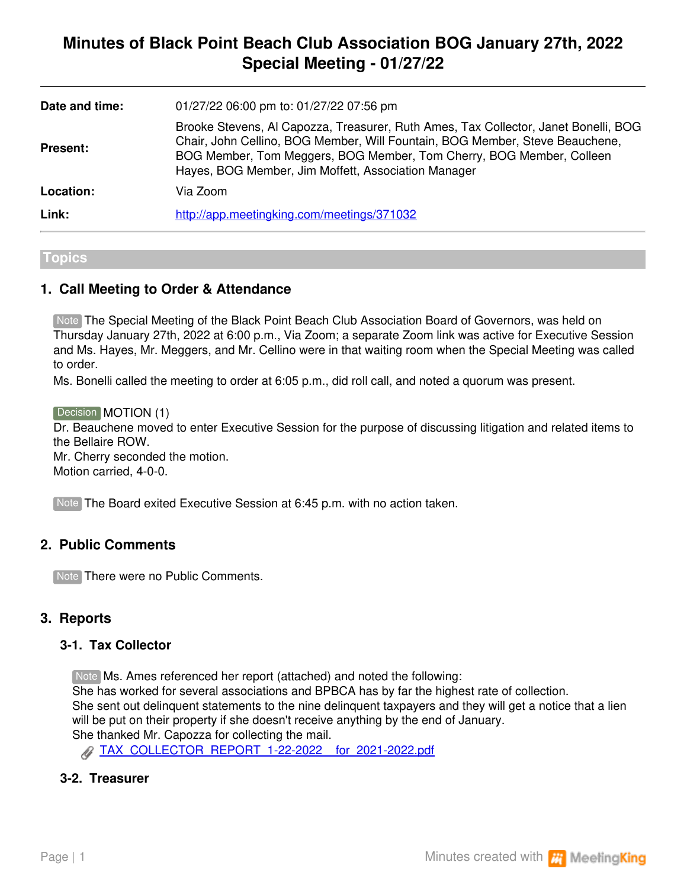# **Minutes of Black Point Beach Club Association BOG January 27th, 2022 Special Meeting - 01/27/22**

| Date and time:  | 01/27/22 06:00 pm to: 01/27/22 07:56 pm                                                                                                                                                                                                                                                            |
|-----------------|----------------------------------------------------------------------------------------------------------------------------------------------------------------------------------------------------------------------------------------------------------------------------------------------------|
| <b>Present:</b> | Brooke Stevens, AI Capozza, Treasurer, Ruth Ames, Tax Collector, Janet Bonelli, BOG<br>Chair, John Cellino, BOG Member, Will Fountain, BOG Member, Steve Beauchene,<br>BOG Member, Tom Meggers, BOG Member, Tom Cherry, BOG Member, Colleen<br>Hayes, BOG Member, Jim Moffett, Association Manager |
| Location:       | Via Zoom                                                                                                                                                                                                                                                                                           |
| Link:           | http://app.meetingking.com/meetings/371032                                                                                                                                                                                                                                                         |

#### **Topics**

## **1. Call Meeting to Order & Attendance**

Note The Special Meeting of the Black Point Beach Club Association Board of Governors, was held on Thursday January 27th, 2022 at 6:00 p.m., Via Zoom; a separate Zoom link was active for Executive Session and Ms. Hayes, Mr. Meggers, and Mr. Cellino were in that waiting room when the Special Meeting was called to order.

Ms. Bonelli called the meeting to order at 6:05 p.m., did roll call, and noted a quorum was present.

Decision **MOTION (1)** Dr. Beauchene moved to enter Executive Session for the purpose of discussing litigation and related items to the Bellaire ROW. Mr. Cherry seconded the motion. Motion carried, 4-0-0.

Note The Board exited Executive Session at 6:45 p.m. with no action taken.

## **2. Public Comments**

Note There were no Public Comments.

#### **3. Reports**

### **3-1. Tax Collector**

Note Ms. Ames referenced her report (attached) and noted the following: She has worked for several associations and BPBCA has by far the highest rate of collection. She sent out delinquent statements to the nine delinquent taxpayers and they will get a notice that a lien will be put on their property if she doesn't receive anything by the end of January. She thanked Mr. Capozza for collecting the mail.

[TAX\\_COLLECTOR\\_REPORT\\_1-22-2022\\_\\_for\\_2021-2022.pdf](https://app.meetingking.com/uploads/attachments/249181-TAX_COLLECTOR_REPORT_1-22-2022__for_2021-2022-578265db98123feb36fbadc26330924e5cdd5a8e.pdf?1643767659)

#### **3-2. Treasurer**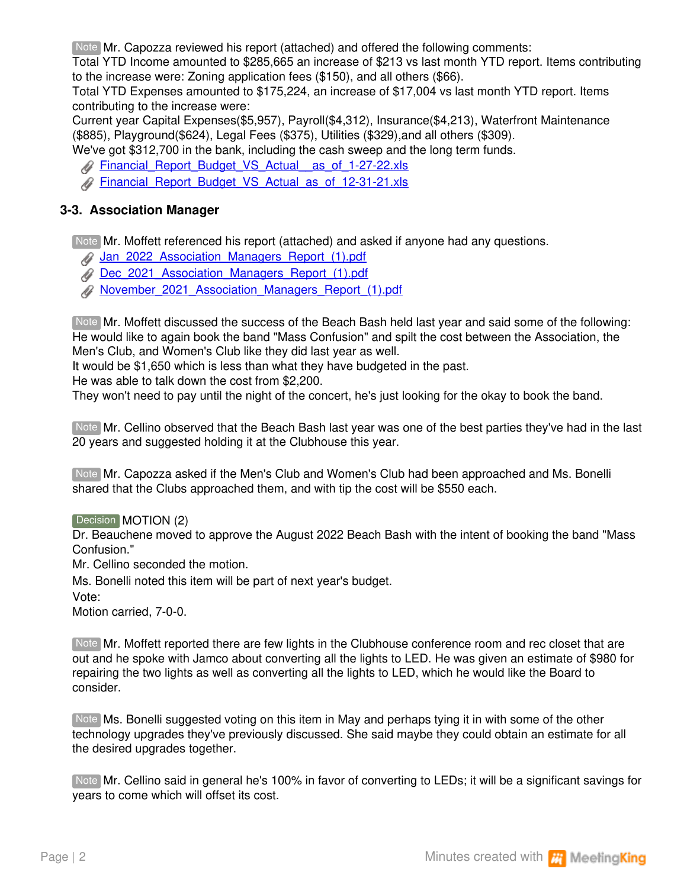Note Mr. Capozza reviewed his report (attached) and offered the following comments:

Total YTD Income amounted to \$285,665 an increase of \$213 vs last month YTD report. Items contributing to the increase were: Zoning application fees (\$150), and all others (\$66).

Total YTD Expenses amounted to \$175,224, an increase of \$17,004 vs last month YTD report. Items contributing to the increase were:

Current year Capital Expenses(\$5,957), Payroll(\$4,312), Insurance(\$4,213), Waterfront Maintenance (\$885), Playground(\$624), Legal Fees (\$375), Utilities (\$329),and all others (\$309).

We've got \$312,700 in the bank, including the cash sweep and the long term funds.

- **A** Financial Report\_Budget\_VS\_Actual\_as\_of\_1-27-22.xls
- [Financial\\_Report\\_Budget\\_VS\\_Actual\\_as\\_of\\_12-31-21.xls](https://app.meetingking.com/uploads/attachments/249183-Financial_Report_Budget_VS_Actual_as_of_12-31-21-64040dd642447e1f3f37953194d4922acb4c6346.xls?1643769531)

## **3-3. Association Manager**

Note Mr. Moffett referenced his report (attached) and asked if anyone had any questions.

[Jan\\_2022\\_Association\\_Managers\\_Report\\_\(1\).pdf](https://app.meetingking.com/uploads/attachments/249184-Jan_2022_Association_Managers_Report_%281%29-3bfeff2f55c94f2ec206e3044e83d8feb6faf9ab.pdf?1643769688)

- [Dec\\_2021\\_Association\\_Managers\\_Report\\_\(1\).pdf](https://app.meetingking.com/uploads/attachments/249185-Dec_2021_Association_Managers_Report_%281%29-0c17d6a2604bab3e1e586133b4648b2b277f961d.pdf?1643769688)
- [November\\_2021\\_Association\\_Managers\\_Report\\_\(1\).pdf](https://app.meetingking.com/uploads/attachments/249186-November_2021_Association_Managers_Report_%281%29-1db814c57f735a75e76842b0a6f39393346c8cf2.pdf?1643769688)

Mr. Moffett discussed the success of the Beach Bash held last year and said some of the following: Note He would like to again book the band "Mass Confusion" and spilt the cost between the Association, the Men's Club, and Women's Club like they did last year as well.

It would be \$1,650 which is less than what they have budgeted in the past.

He was able to talk down the cost from \$2,200.

They won't need to pay until the night of the concert, he's just looking for the okay to book the band.

Mr. Cellino observed that the Beach Bash last year was one of the best parties they've had in the last Note 20 years and suggested holding it at the Clubhouse this year.

Mr. Capozza asked if the Men's Club and Women's Club had been approached and Ms. Bonelli Note shared that the Clubs approached them, and with tip the cost will be \$550 each.

Decision MOTION (2)

Dr. Beauchene moved to approve the August 2022 Beach Bash with the intent of booking the band "Mass Confusion."

Mr. Cellino seconded the motion.

Ms. Bonelli noted this item will be part of next year's budget.

Vote:

Motion carried, 7-0-0.

Note Mr. Moffett reported there are few lights in the Clubhouse conference room and rec closet that are out and he spoke with Jamco about converting all the lights to LED. He was given an estimate of \$980 for repairing the two lights as well as converting all the lights to LED, which he would like the Board to consider.

Note Ms. Bonelli suggested voting on this item in May and perhaps tying it in with some of the other technology upgrades they've previously discussed. She said maybe they could obtain an estimate for all the desired upgrades together.

Note Mr. Cellino said in general he's 100% in favor of converting to LEDs; it will be a significant savings for years to come which will offset its cost.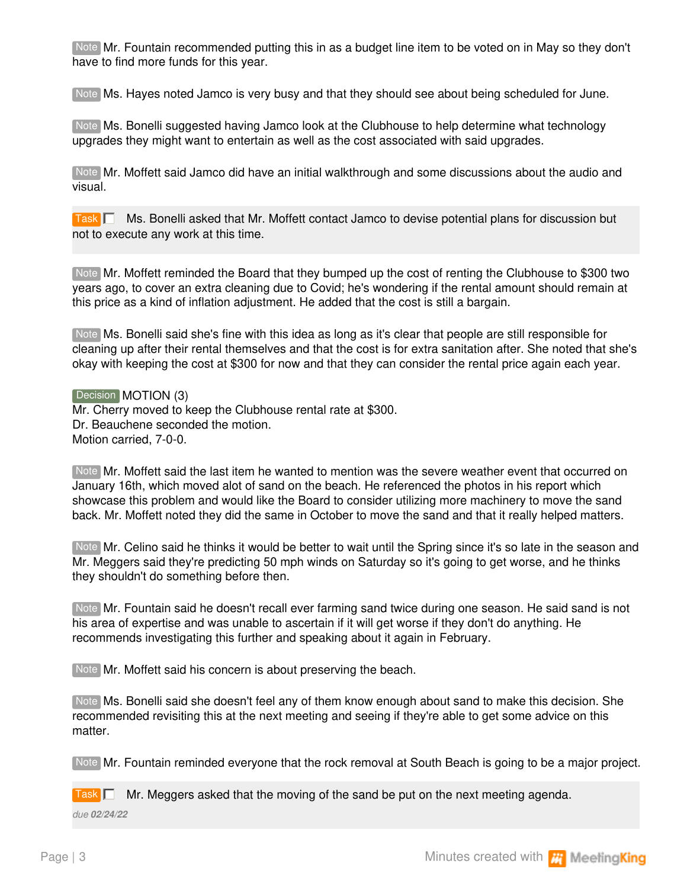Note Mr. Fountain recommended putting this in as a budget line item to be voted on in May so they don't have to find more funds for this year.

Note Ms. Hayes noted Jamco is very busy and that they should see about being scheduled for June.

Ms. Bonelli suggested having Jamco look at the Clubhouse to help determine what technology Note upgrades they might want to entertain as well as the cost associated with said upgrades.

Note Mr. Moffett said Jamco did have an initial walkthrough and some discussions about the audio and visual.

Task **| ■ Ms. Bonelli asked that Mr. Moffett contact Jamco to devise potential plans for discussion but** not to execute any work at this time.

Note Mr. Moffett reminded the Board that they bumped up the cost of renting the Clubhouse to \$300 two years ago, to cover an extra cleaning due to Covid; he's wondering if the rental amount should remain at this price as a kind of inflation adjustment. He added that the cost is still a bargain.

Ms. Bonelli said she's fine with this idea as long as it's clear that people are still responsible for Note cleaning up after their rental themselves and that the cost is for extra sanitation after. She noted that she's okay with keeping the cost at \$300 for now and that they can consider the rental price again each year.

Decision **MOTION (3)** Mr. Cherry moved to keep the Clubhouse rental rate at \$300. Dr. Beauchene seconded the motion. Motion carried, 7-0-0.

Note Mr. Moffett said the last item he wanted to mention was the severe weather event that occurred on January 16th, which moved alot of sand on the beach. He referenced the photos in his report which showcase this problem and would like the Board to consider utilizing more machinery to move the sand back. Mr. Moffett noted they did the same in October to move the sand and that it really helped matters.

Mr. Celino said he thinks it would be better to wait until the Spring since it's so late in the season and Note Mr. Meggers said they're predicting 50 mph winds on Saturday so it's going to get worse, and he thinks they shouldn't do something before then.

Note Mr. Fountain said he doesn't recall ever farming sand twice during one season. He said sand is not his area of expertise and was unable to ascertain if it will get worse if they don't do anything. He recommends investigating this further and speaking about it again in February.

Note Mr. Moffett said his concern is about preserving the beach.

Note Ms. Bonelli said she doesn't feel any of them know enough about sand to make this decision. She recommended revisiting this at the next meeting and seeing if they're able to get some advice on this matter.

Note Mr. Fountain reminded everyone that the rock removal at South Beach is going to be a major project.

Task **Mr. Meggers asked that the moving of the sand be put on the next meeting agenda.** *due 02/24/22*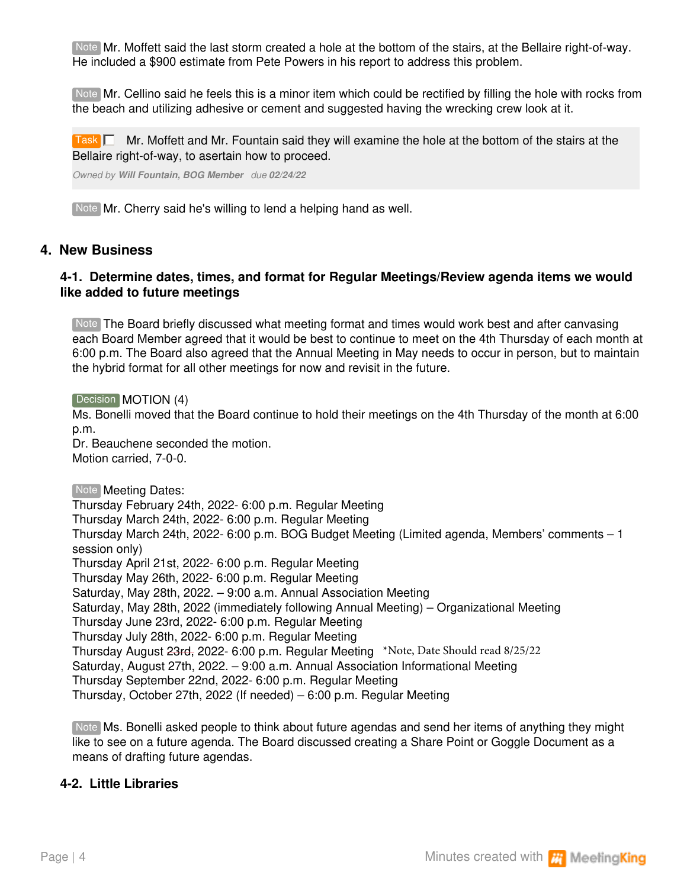Note Mr. Moffett said the last storm created a hole at the bottom of the stairs, at the Bellaire right-of-way. He included a \$900 estimate from Pete Powers in his report to address this problem.

Note Mr. Cellino said he feels this is a minor item which could be rectified by filling the hole with rocks from the beach and utilizing adhesive or cement and suggested having the wrecking crew look at it.

Task  $\Box$  Mr. Moffett and Mr. Fountain said they will examine the hole at the bottom of the stairs at the Bellaire right-of-way, to asertain how to proceed.

*Owned by Will Fountain, BOG Member due 02/24/22*

Note Mr. Cherry said he's willing to lend a helping hand as well.

### **4. New Business**

#### **4-1. Determine dates, times, and format for Regular Meetings/Review agenda items we would like added to future meetings**

Note The Board briefly discussed what meeting format and times would work best and after canvasing each Board Member agreed that it would be best to continue to meet on the 4th Thursday of each month at 6:00 p.m. The Board also agreed that the Annual Meeting in May needs to occur in person, but to maintain the hybrid format for all other meetings for now and revisit in the future.

Decision **MOTION (4)** 

Ms. Bonelli moved that the Board continue to hold their meetings on the 4th Thursday of the month at 6:00 p.m.

Dr. Beauchene seconded the motion. Motion carried, 7-0-0.

Note | **Meeting Dates:** Thursday February 24th, 2022- 6:00 p.m. Regular Meeting Thursday March 24th, 2022- 6:00 p.m. Regular Meeting Thursday March 24th, 2022- 6:00 p.m. BOG Budget Meeting (Limited agenda, Members' comments – 1 session only) Thursday April 21st, 2022- 6:00 p.m. Regular Meeting Thursday May 26th, 2022- 6:00 p.m. Regular Meeting Saturday, May 28th, 2022. – 9:00 a.m. Annual Association Meeting Saturday, May 28th, 2022 (immediately following Annual Meeting) – Organizational Meeting Thursday June 23rd, 2022- 6:00 p.m. Regular Meeting Thursday July 28th, 2022- 6:00 p.m. Regular Meeting Thursday August 23rd, 2022- 6:00 p.m. Regular Meeting \*Note, Date Should read 8/25/22 Saturday, August 27th, 2022. – 9:00 a.m. Annual Association Informational Meeting Thursday September 22nd, 2022- 6:00 p.m. Regular Meeting Thursday, October 27th, 2022 (If needed) – 6:00 p.m. Regular Meeting

Note Ms. Bonelli asked people to think about future agendas and send her items of anything they might like to see on a future agenda. The Board discussed creating a Share Point or Goggle Document as a means of drafting future agendas.

## **4-2. Little Libraries**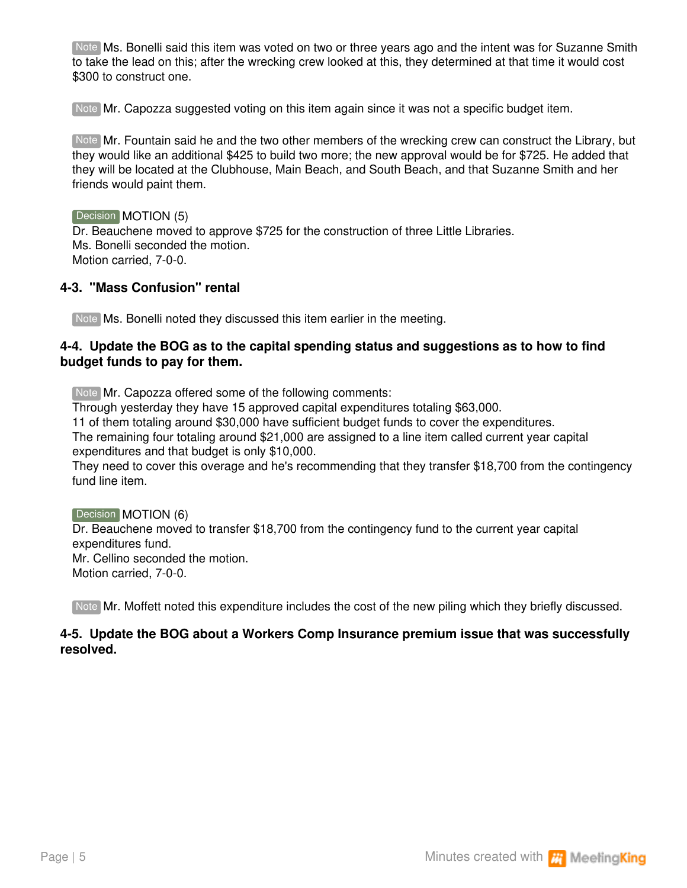Note Ms. Bonelli said this item was voted on two or three years ago and the intent was for Suzanne Smith to take the lead on this; after the wrecking crew looked at this, they determined at that time it would cost \$300 to construct one.

Note Mr. Capozza suggested voting on this item again since it was not a specific budget item.

Note Mr. Fountain said he and the two other members of the wrecking crew can construct the Library, but they would like an additional \$425 to build two more; the new approval would be for \$725. He added that they will be located at the Clubhouse, Main Beach, and South Beach, and that Suzanne Smith and her friends would paint them.

#### Decision **MOTION** (5)

Dr. Beauchene moved to approve \$725 for the construction of three Little Libraries. Ms. Bonelli seconded the motion. Motion carried, 7-0-0.

#### **4-3. "Mass Confusion" rental**

Note Ms. Bonelli noted they discussed this item earlier in the meeting.

#### **4-4. Update the BOG as to the capital spending status and suggestions as to how to find budget funds to pay for them.**

Note Mr. Capozza offered some of the following comments:

Through yesterday they have 15 approved capital expenditures totaling \$63,000.

11 of them totaling around \$30,000 have sufficient budget funds to cover the expenditures.

The remaining four totaling around \$21,000 are assigned to a line item called current year capital expenditures and that budget is only \$10,000.

They need to cover this overage and he's recommending that they transfer \$18,700 from the contingency fund line item.

Decision **MOTION** (6) Dr. Beauchene moved to transfer \$18,700 from the contingency fund to the current year capital expenditures fund. Mr. Cellino seconded the motion. Motion carried, 7-0-0.

Note Mr. Moffett noted this expenditure includes the cost of the new piling which they briefly discussed.

### **4-5. Update the BOG about a Workers Comp Insurance premium issue that was successfully resolved.**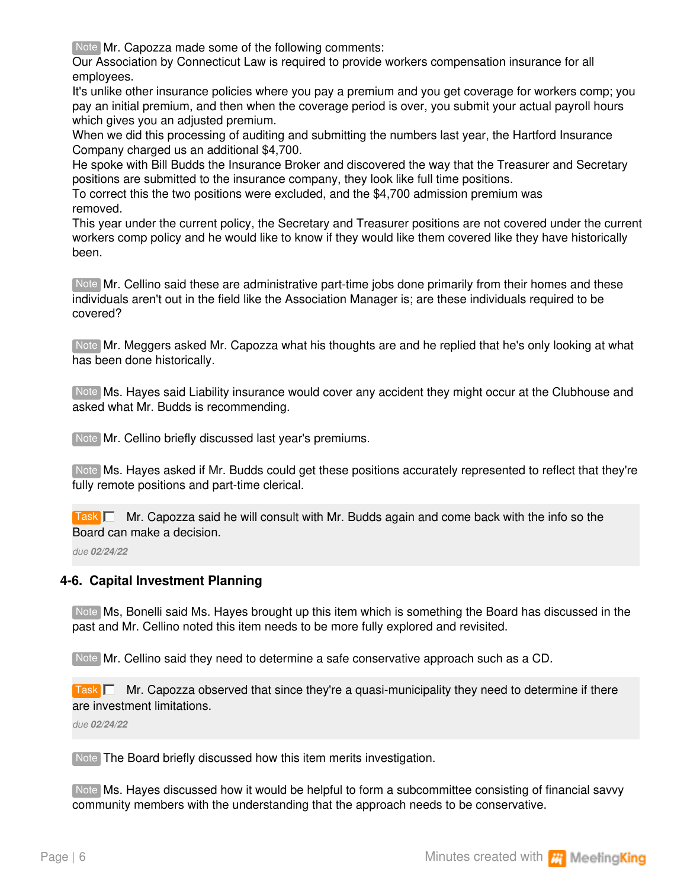Note Mr. Capozza made some of the following comments:

Our Association by Connecticut Law is required to provide workers compensation insurance for all employees.

It's unlike other insurance policies where you pay a premium and you get coverage for workers comp; you pay an initial premium, and then when the coverage period is over, you submit your actual payroll hours which gives you an adjusted premium.

When we did this processing of auditing and submitting the numbers last year, the Hartford Insurance Company charged us an additional \$4,700.

He spoke with Bill Budds the Insurance Broker and discovered the way that the Treasurer and Secretary positions are submitted to the insurance company, they look like full time positions.

To correct this the two positions were excluded, and the \$4,700 admission premium was removed.

This year under the current policy, the Secretary and Treasurer positions are not covered under the current workers comp policy and he would like to know if they would like them covered like they have historically been.

Note Mr. Cellino said these are administrative part-time jobs done primarily from their homes and these individuals aren't out in the field like the Association Manager is; are these individuals required to be covered?

Note Mr. Meggers asked Mr. Capozza what his thoughts are and he replied that he's only looking at what has been done historically.

Note Ms. Hayes said Liability insurance would cover any accident they might occur at the Clubhouse and asked what Mr. Budds is recommending.

Note Mr. Cellino briefly discussed last year's premiums.

Note Ms. Hayes asked if Mr. Budds could get these positions accurately represented to reflect that they're fully remote positions and part-time clerical.

Task **Mr. Capozza said he will consult with Mr. Budds again and come back with the info so the** Board can make a decision.

*due 02/24/22*

#### **4-6. Capital Investment Planning**

Note Ms, Bonelli said Ms. Hayes brought up this item which is something the Board has discussed in the past and Mr. Cellino noted this item needs to be more fully explored and revisited.

Note Mr. Cellino said they need to determine a safe conservative approach such as a CD.

Task **Mr. Capozza observed that since they're a quasi-municipality they need to determine if there** are investment limitations.

*due 02/24/22*

Note The Board briefly discussed how this item merits investigation.

Note Ms. Hayes discussed how it would be helpful to form a subcommittee consisting of financial savvy community members with the understanding that the approach needs to be conservative.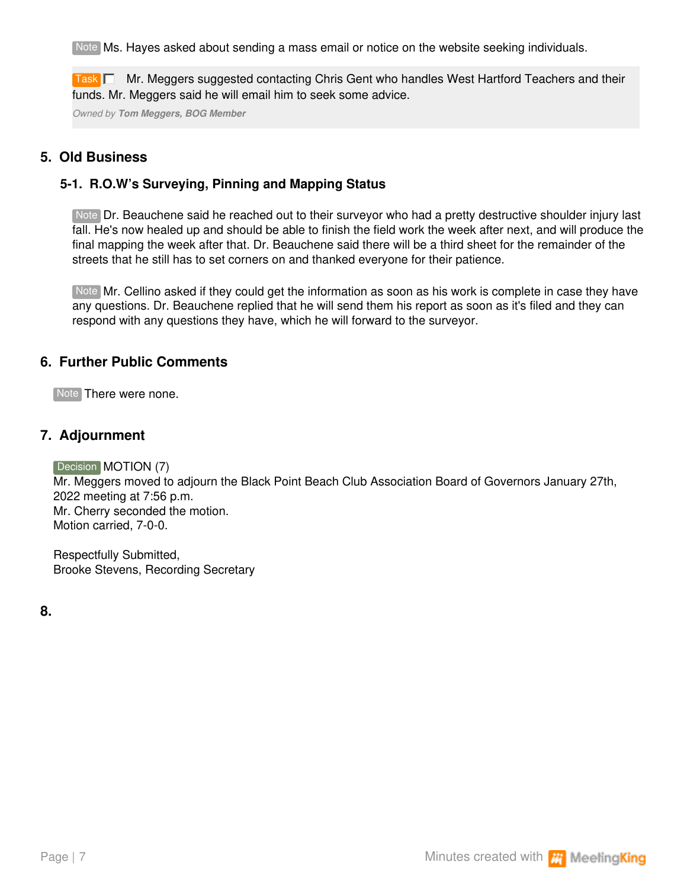Note Ms. Hayes asked about sending a mass email or notice on the website seeking individuals.

Task **Deta** Mr. Meggers suggested contacting Chris Gent who handles West Hartford Teachers and their funds. Mr. Meggers said he will email him to seek some advice.

*Owned by Tom Meggers, BOG Member*

## **5. Old Business**

## **5-1. R.O.W's Surveying, Pinning and Mapping Status**

Note Dr. Beauchene said he reached out to their surveyor who had a pretty destructive shoulder injury last fall. He's now healed up and should be able to finish the field work the week after next, and will produce the final mapping the week after that. Dr. Beauchene said there will be a third sheet for the remainder of the streets that he still has to set corners on and thanked everyone for their patience.

Note Mr. Cellino asked if they could get the information as soon as his work is complete in case they have any questions. Dr. Beauchene replied that he will send them his report as soon as it's filed and they can respond with any questions they have, which he will forward to the surveyor.

## **6. Further Public Comments**

Note There were none.

## **7. Adjournment**

Decision **MOTION** (7)

Mr. Meggers moved to adjourn the Black Point Beach Club Association Board of Governors January 27th, 2022 meeting at 7:56 p.m. Mr. Cherry seconded the motion. Motion carried, 7-0-0.

Respectfully Submitted, Brooke Stevens, Recording Secretary

**8.**